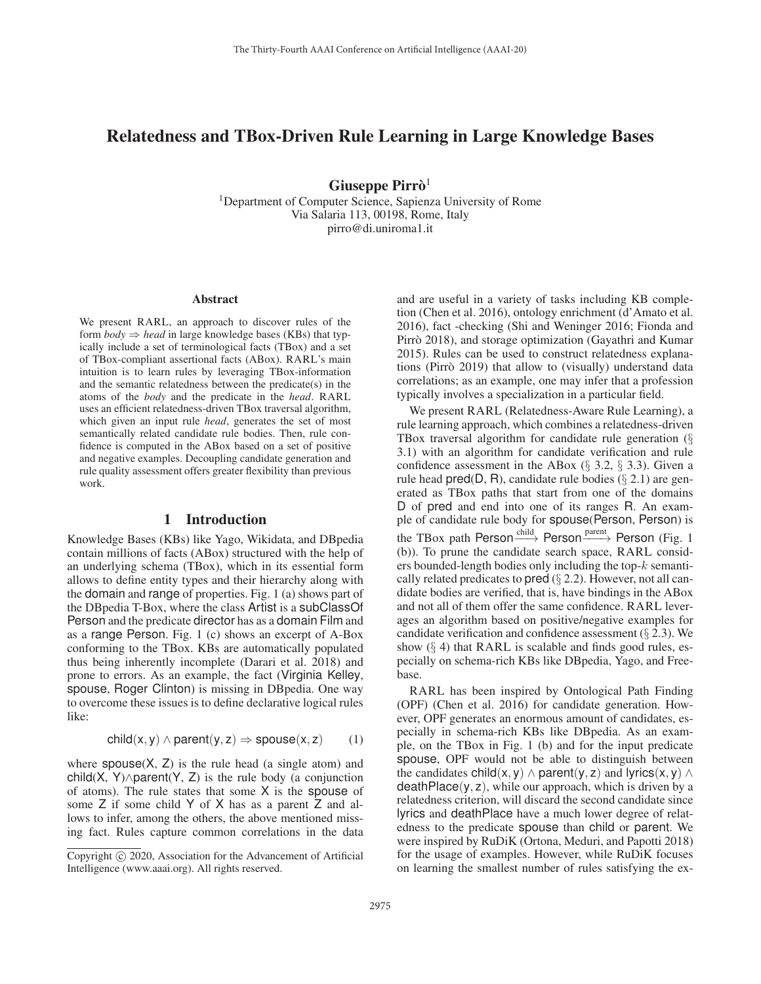# Relatedness and TBox-Driven Rule Learning in Large Knowledge Bases

Giuseppe Pirrò<sup>1</sup>

1Department of Computer Science, Sapienza University of Rome Via Salaria 113, 00198, Rome, Italy pirro@di.uniroma1.it

#### Abstract

We present RARL, an approach to discover rules of the form  $body \Rightarrow head$  in large knowledge bases (KBs) that typically include a set of terminological facts (TBox) and a set of TBox-compliant assertional facts (ABox). RARL's main intuition is to learn rules by leveraging TBox-information and the semantic relatedness between the predicate(s) in the atoms of the *body* and the predicate in the *head*. RARL uses an efficient relatedness-driven TBox traversal algorithm, which given an input rule *head*, generates the set of most semantically related candidate rule bodies. Then, rule confidence is computed in the ABox based on a set of positive and negative examples. Decoupling candidate generation and rule quality assessment offers greater flexibility than previous work.

# 1 Introduction

Knowledge Bases (KBs) like Yago, Wikidata, and DBpedia contain millions of facts (ABox) structured with the help of an underlying schema (TBox), which in its essential form allows to define entity types and their hierarchy along with the domain and range of properties. Fig. 1 (a) shows part of the DBpedia T-Box, where the class Artist is a subClassOf Person and the predicate director has as a domain Film and as a range Person. Fig. 1 (c) shows an excerpt of A-Box conforming to the TBox. KBs are automatically populated thus being inherently incomplete (Darari et al. 2018) and prone to errors. As an example, the fact (Virginia Kelley, spouse, Roger Clinton) is missing in DBpedia. One way to overcome these issues is to define declarative logical rules like:

$$
child(x, y) \land parent(y, z) \Rightarrow spouse(x, z) \qquad (1)
$$

where  $spouse(X, Z)$  is the rule head (a single atom) and child(X, Y) $\land$ parent(Y, Z) is the rule body (a conjunction of atoms). The rule states that some  $X$  is the spouse of some Z if some child Y of X has as a parent Z and allows to infer, among the others, the above mentioned missing fact. Rules capture common correlations in the data

and are useful in a variety of tasks including KB completion (Chen et al. 2016), ontology enrichment (d'Amato et al. 2016), fact -checking (Shi and Weninger 2016; Fionda and Pirrò 2018), and storage optimization (Gayathri and Kumar 2015). Rules can be used to construct relatedness explanations (Pirrò 2019) that allow to (visually) understand data correlations; as an example, one may infer that a profession typically involves a specialization in a particular field.

We present RARL (Relatedness-Aware Rule Learning), a rule learning approach, which combines a relatedness-driven TBox traversal algorithm for candidate rule generation  $(\S$ 3.1) with an algorithm for candidate verification and rule confidence assessment in the ABox  $(\S$  3.2,  $\S$  3.3). Given a rule head  $pred(D, R)$ , candidate rule bodies (§ 2.1) are generated as TBox paths that start from one of the domains D of pred and end into one of its ranges R. An example of candidate rule body for spouse(Person, Person) is the TBox path Person<sup>child</sup> Person<sup>Darent</sup> Person (Fig. 1 (b)). To prune the candidate search space, RARL considers bounded-length bodies only including the top-k semantically related predicates to pred  $(\S 2.2)$ . However, not all candidate bodies are verified, that is, have bindings in the ABox and not all of them offer the same confidence. RARL leverages an algorithm based on positive/negative examples for candidate verification and confidence assessment (§ 2.3). We show  $(\S 4)$  that RARL is scalable and finds good rules, especially on schema-rich KBs like DBpedia, Yago, and Freebase.

RARL has been inspired by Ontological Path Finding (OPF) (Chen et al. 2016) for candidate generation. However, OPF generates an enormous amount of candidates, especially in schema-rich KBs like DBpedia. As an example, on the TBox in Fig. 1 (b) and for the input predicate spouse, OPF would not be able to distinguish between the candidates child(x, y)  $\land$  parent(y, z) and lyrics(x, y)  $\land$  $deathPlace(y, z)$ , while our approach, which is driven by a relatedness criterion, will discard the second candidate since lyrics and deathPlace have a much lower degree of relatedness to the predicate spouse than child or parent. We were inspired by RuDiK (Ortona, Meduri, and Papotti 2018) for the usage of examples. However, while RuDiK focuses on learning the smallest number of rules satisfying the ex-

Copyright  $\odot$  2020, Association for the Advancement of Artificial Intelligence (www.aaai.org). All rights reserved.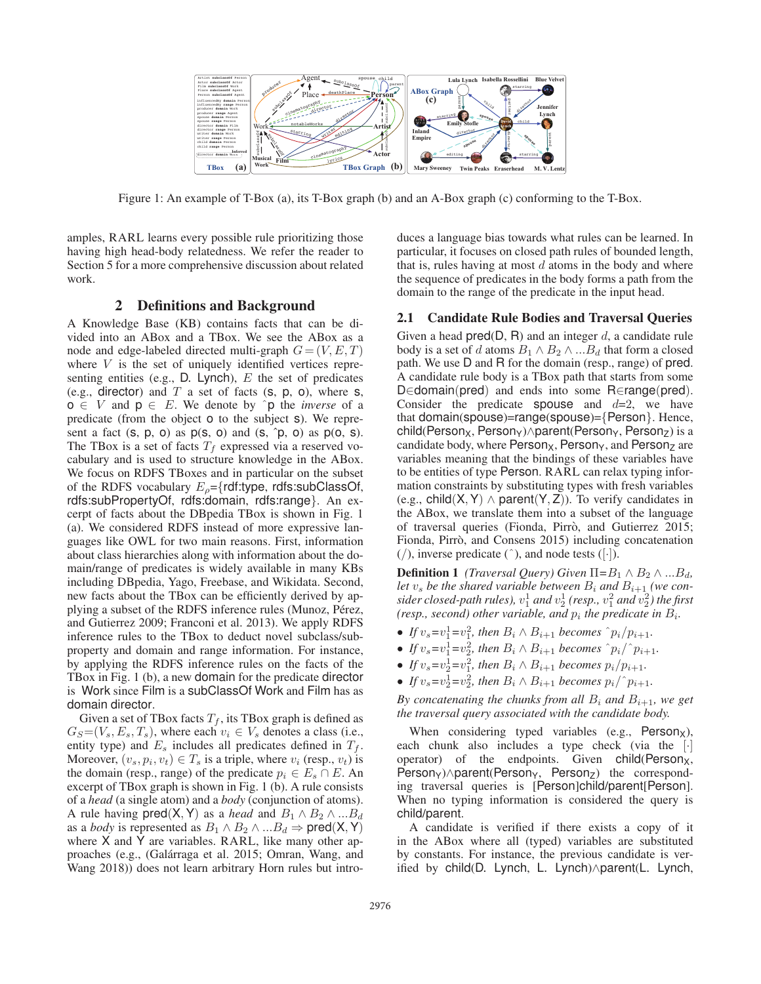

Figure 1: An example of T-Box (a), its T-Box graph (b) and an A-Box graph (c) conforming to the T-Box.

amples, RARL learns every possible rule prioritizing those having high head-body relatedness. We refer the reader to Section 5 for a more comprehensive discussion about related work.

# 2 Definitions and Background

A Knowledge Base (KB) contains facts that can be divided into an ABox and a TBox. We see the ABox as a node and edge-labeled directed multi-graph  $G = (V, E, T)$ where  $V$  is the set of uniquely identified vertices representing entities (e.g.,  $D$ . Lynch),  $E$  the set of predicates (e.g., director) and  $T$  a set of facts (s, p, o), where s,  $o \in V$  and  $p \in E$ . We denote by  $\hat{p}$  the *inverse* of a predicate (from the object o to the subject s). We represent a fact  $(s, p, o)$  as  $p(s, o)$  and  $(s, \hat{p}, o)$  as  $p(o, s)$ . The TBox is a set of facts  $T_f$  expressed via a reserved vocabulary and is used to structure knowledge in the ABox. We focus on RDFS TBoxes and in particular on the subset of the RDFS vocabulary  $E_{\rho} = \{rdf:\text{type}, \text{rdfs:subClassOf}, \text{m}{\}$ rdfs:subPropertyOf, rdfs:domain, rdfs:range}. An excerpt of facts about the DBpedia TBox is shown in Fig. 1 (a). We considered RDFS instead of more expressive languages like OWL for two main reasons. First, information about class hierarchies along with information about the domain/range of predicates is widely available in many KBs including DBpedia, Yago, Freebase, and Wikidata. Second, new facts about the TBox can be efficiently derived by applying a subset of the RDFS inference rules (Munoz, Pérez, and Gutierrez 2009; Franconi et al. 2013). We apply RDFS inference rules to the TBox to deduct novel subclass/subproperty and domain and range information. For instance, by applying the RDFS inference rules on the facts of the TBox in Fig. 1 (b), a new domain for the predicate director is Work since Film is a subClassOf Work and Film has as domain director.

Given a set of TBox facts  $T_f$ , its TBox graph is defined as  $G_S=(V_s, E_s, T_s)$ , where each  $v_i \in V_s$  denotes a class (i.e., entity type) and  $E_s$  includes all predicates defined in  $T_f$ . Moreover,  $(v_s, p_i, v_t) \in T_s$  is a triple, where  $v_i$  (resp.,  $v_t$ ) is the domain (resp., range) of the predicate  $p_i \in E_s \cap E$ . An excerpt of TBox graph is shown in Fig. 1 (b). A rule consists of a *head* (a single atom) and a *body* (conjunction of atoms). A rule having  $pred(X, Y)$  as a *head* and  $B_1 \wedge B_2 \wedge ... B_d$ as a *body* is represented as  $B_1 \wedge B_2 \wedge ... B_d \Rightarrow \text{pred}(X, Y)$ where X and Y are variables. RARL, like many other approaches (e.g., (Galárraga et al. 2015; Omran, Wang, and Wang 2018)) does not learn arbitrary Horn rules but introduces a language bias towards what rules can be learned. In particular, it focuses on closed path rules of bounded length, that is, rules having at most  $d$  atoms in the body and where the sequence of predicates in the body forms a path from the domain to the range of the predicate in the input head.

# 2.1 Candidate Rule Bodies and Traversal Queries

Given a head  $pred(D, R)$  and an integer d, a candidate rule body is a set of d atoms  $B_1 \wedge B_2 \wedge ... B_d$  that form a closed path. We use D and R for the domain (resp., range) of pred. A candidate rule body is a TBox path that starts from some D∈domain(pred) and ends into some R∈range(pred). Consider the predicate spouse and  $d=2$ , we have that domain(spouse)=range(spouse)={Person}. Hence, child(Person<sub>X</sub>, Person<sub>Y</sub>)∧parent(Person<sub>Y</sub>, Person<sub>Z</sub>) is a candidate body, where  $Person_X$ , Person<sub>Y</sub>, and Person<sub>Z</sub> are variables meaning that the bindings of these variables have to be entities of type Person. RARL can relax typing information constraints by substituting types with fresh variables (e.g., child(X, Y)  $\land$  parent(Y, Z)). To verify candidates in the ABox, we translate them into a subset of the language of traversal queries (Fionda, Pirrò, and Gutierrez 2015; Fionda, Pirrò, and Consens 2015) including concatenation  $($  $)$ , inverse predicate  $($  $)$ , and node tests  $($  $\cdot$  $)$ .

**Definition 1** *(Traversal Query)* Given  $\Pi = B_1 \wedge B_2 \wedge ... B_d$ , let  $v_s$  be the shared variable between  $B_i$  and  $B_{i+1}$  (we con $sider \ closed$ *-path rules),*  $v_1^1$  *and*  $v_2^1$  (resp.,  $v_1^2$  *and*  $v_2^2$ ) *the first (resp., second) other variable, and*  $p_i$  *the predicate in*  $B_i$ *.* 

- If  $v_s = v_1^1 = v_1^2$ , then  $B_i \wedge B_{i+1}$  becomes  $\hat{p}_i / p_{i+1}$ .
- If  $v_s = v_1^1 = v_2^2$ , then  $B_i \wedge B_{i+1}$  becomes  $\wedge p_i / \wedge p_{i+1}$ .
- If  $v_s = v_2^1 = v_1^2$ , then  $B_i \wedge B_{i+1}$  becomes  $p_i/p_{i+1}$ .
- If  $v_s = v_2^1 = v_2^2$ , then  $B_i \wedge B_{i+1}$  becomes  $p_i \wedge p_{i+1}$ .

*By concatenating the chunks from all*  $B_i$  *and*  $B_{i+1}$ *, we get the traversal query associated with the candidate body.*

When considering typed variables (e.g.,  $Person_X$ ), each chunk also includes a type check (via the [·] operator) of the endpoints. Given  $child(Person_X)$ , Person<sub>Y</sub>)∧parent(Person<sub>Y</sub>, Person<sub>Z</sub>) the corresponding traversal queries is [Person]child/parent[Person]. When no typing information is considered the query is child/parent.

A candidate is verified if there exists a copy of it in the ABox where all (typed) variables are substituted by constants. For instance, the previous candidate is verified by child(D. Lynch, L. Lynch)∧parent(L. Lynch,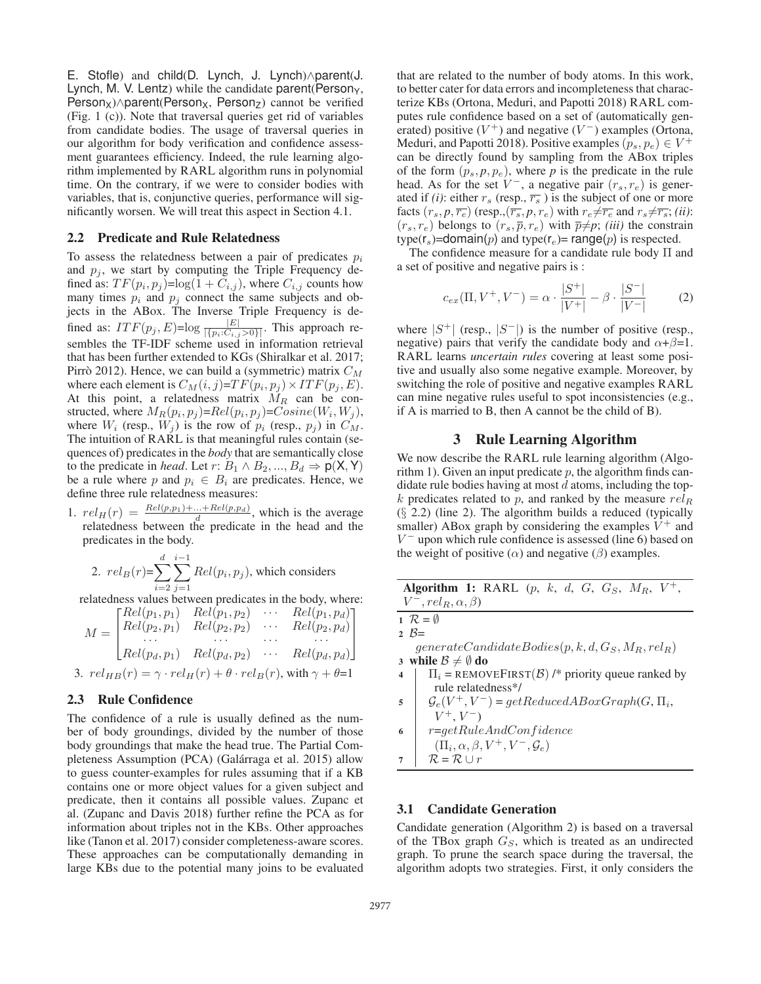E. Stofle) and child(D. Lynch, J. Lynch)∧parent(J. Lynch, M. V. Lentz) while the candidate parent (Person $_{Y}$ , Person<sub>X</sub>)∧parent(Person<sub>X</sub>, Person<sub>Z</sub>) cannot be verified (Fig. 1 (c)). Note that traversal queries get rid of variables from candidate bodies. The usage of traversal queries in our algorithm for body verification and confidence assessment guarantees efficiency. Indeed, the rule learning algorithm implemented by RARL algorithm runs in polynomial time. On the contrary, if we were to consider bodies with variables, that is, conjunctive queries, performance will significantly worsen. We will treat this aspect in Section 4.1.

#### 2.2 Predicate and Rule Relatedness

To assess the relatedness between a pair of predicates  $p_i$ and  $p_j$ , we start by computing the Triple Frequency defined as:  $TF(p_i, p_j) = \log(1 + C_{i,j})$ , where  $C_{i,j}$  counts how many times  $p_i$  and  $p_j$  connect the same subjects and objects in the ABox. The Inverse Triple Frequency is defined as:  $ITF(p_j, E) = \log \frac{|E|}{|\{p_i : C_{i,j} > 0\}|}$ . This approach resembles the TF-IDF scheme used in information retrieval that has been further extended to KGs (Shiralkar et al. 2017; Pirrò 2012). Hence, we can build a (symmetric) matrix  $C_M$ where each element is  $C_M(i, j) = TF(p_i, p_j) \times ITF(p_j, E)$ . At this point, a relatedness matrix  $\dot{M}_R$  can be constructed, where  $M_R(p_i, p_j) = Rel(p_i, p_j) = Cosine(W_i, W_j)$ , where  $W_i$  (resp.,  $W_j$ ) is the row of  $p_i$  (resp.,  $p_j$ ) in  $C_M$ . The intuition of RARL is that meaningful rules contain (sequences of) predicates in the *body* that are semantically close to the predicate in *head*. Let  $r: B_1 \wedge B_2, ..., B_d \Rightarrow p(X, Y)$ be a rule where p and  $p_i \in B_i$  are predicates. Hence, we define three rule relatedness measures:

1.  $rel_H(r) = \frac{Rel(p,p_1)+...+Rel(p,p_d)}{d}$ , which is the average relatedness between the predicate in the head and the predicates in the body.

2. 
$$
rel_B(r) = \sum_{i=2}^{d} \sum_{j=1}^{i-1} Rel(p_i, p_j)
$$
, which considers

relatedness values between predicates in the body, where:

$$
M = \begin{bmatrix} Rel(p_1, p_1) & Rel(p_1, p_2) & \cdots & Rel(p_1, p_d) \\ Rel(p_2, p_1) & Rel(p_2, p_2) & \cdots & Rel(p_2, p_d) \\ \cdots & \cdots & \cdots & \cdots \\ Rel(p_d, p_1) & Rel(p_d, p_2) & \cdots & Rel(p_d, p_d) \end{bmatrix}
$$

3.  $rel_{HB}(r) = \gamma \cdot rel_H(r) + \theta \cdot rel_B(r)$ , with  $\gamma + \theta = 1$ 

# 2.3 Rule Confidence

The confidence of a rule is usually defined as the number of body groundings, divided by the number of those body groundings that make the head true. The Partial Completeness Assumption (PCA) (Galárraga et al. 2015) allow to guess counter-examples for rules assuming that if a KB contains one or more object values for a given subject and predicate, then it contains all possible values. Zupanc et al. (Zupanc and Davis 2018) further refine the PCA as for information about triples not in the KBs. Other approaches like (Tanon et al. 2017) consider completeness-aware scores. These approaches can be computationally demanding in large KBs due to the potential many joins to be evaluated

that are related to the number of body atoms. In this work, to better cater for data errors and incompleteness that characterize KBs (Ortona, Meduri, and Papotti 2018) RARL computes rule confidence based on a set of (automatically generated) positive  $(V^+)$  and negative  $(V^-)$  examples (Ortona, Meduri, and Papotti 2018). Positive examples  $(p_s, p_e) \in V^+$ can be directly found by sampling from the ABox triples of the form  $(p_s, p, p_e)$ , where *p* is the predicate in the rule head. As for the set  $V^-$ , a negative pair  $(r_s, r_e)$  is generated if *(i)*: either  $r_s$  (resp.,  $\overline{r_s}$ ) is the subject of one or more facts  $(r_s, p, \overline{r_e})$  (resp.,  $(\overline{r_s}, p, r_e)$  with  $r_e \neq \overline{r_e}$  and  $r_s \neq \overline{r_s}$ ; *(ii)*:  $(r_s, r_e)$  belongs to  $(r_s, \overline{p}, r_e)$  with  $\overline{p} \neq p$ ; *(iii)* the constrain type( $r_s$ )=domain(p) and type( $r_e$ )= range(p) is respected.

The confidence measure for a candidate rule body Π and a set of positive and negative pairs is :

$$
c_{ex}(\Pi, V^{+}, V^{-}) = \alpha \cdot \frac{|S^{+}|}{|V^{+}|} - \beta \cdot \frac{|S^{-}|}{|V^{-}|}
$$
 (2)

where  $|S^+|$  (resp.,  $|S^-|$ ) is the number of positive (resp., negative) pairs that verify the candidate body and  $\alpha + \beta = 1$ . RARL learns *uncertain rules* covering at least some positive and usually also some negative example. Moreover, by switching the role of positive and negative examples RARL can mine negative rules useful to spot inconsistencies (e.g., if A is married to B, then A cannot be the child of B).

#### 3 Rule Learning Algorithm

We now describe the RARL rule learning algorithm (Algorithm 1). Given an input predicate  $p$ , the algorithm finds candidate rule bodies having at most  $d$  atoms, including the top $k$  predicates related to  $p$ , and ranked by the measure  $rel_R$  $(\S$  2.2) (line 2). The algorithm builds a reduced (typically smaller) ABox graph by considering the examples  $V^+$  and  $V^-$  upon which rule confidence is assessed (line 6) based on the weight of positive ( $\alpha$ ) and negative ( $\beta$ ) examples.

|   | <b>Algorithm 1:</b> RARL $(p, k, d, G, G_S, M_R, V^+,$       |
|---|--------------------------------------------------------------|
|   | $V^-, rel_R, \alpha, \beta)$                                 |
|   | $1 \mathcal{R} = \emptyset$                                  |
|   | 2 $B=$                                                       |
|   | $generate CandidateBodies(p, k, d, GS, MR, relR)$            |
|   | 3 while $\mathcal{B} \neq \emptyset$ do                      |
| 4 | $\Pi_i$ = REMOVEFIRST( $\beta$ ) /* priority queue ranked by |
|   | rule relatedness*/                                           |
| 5 | $\mathcal{G}_e(V^+,V^-) = getReduced ABoxGraph(G,\Pi_i,$     |
|   | $V^+, V^-$                                                   |
| 6 | $r = getRuleAndConfidence$                                   |
|   | $(\Pi_i, \alpha, \beta, V^+, V^-, \mathcal{G}_e)$            |
| 7 | $R = R \cup r$                                               |
|   |                                                              |

### 3.1 Candidate Generation

Candidate generation (Algorithm 2) is based on a traversal of the TBox graph  $G<sub>S</sub>$ , which is treated as an undirected graph. To prune the search space during the traversal, the algorithm adopts two strategies. First, it only considers the

 $\overline{2}$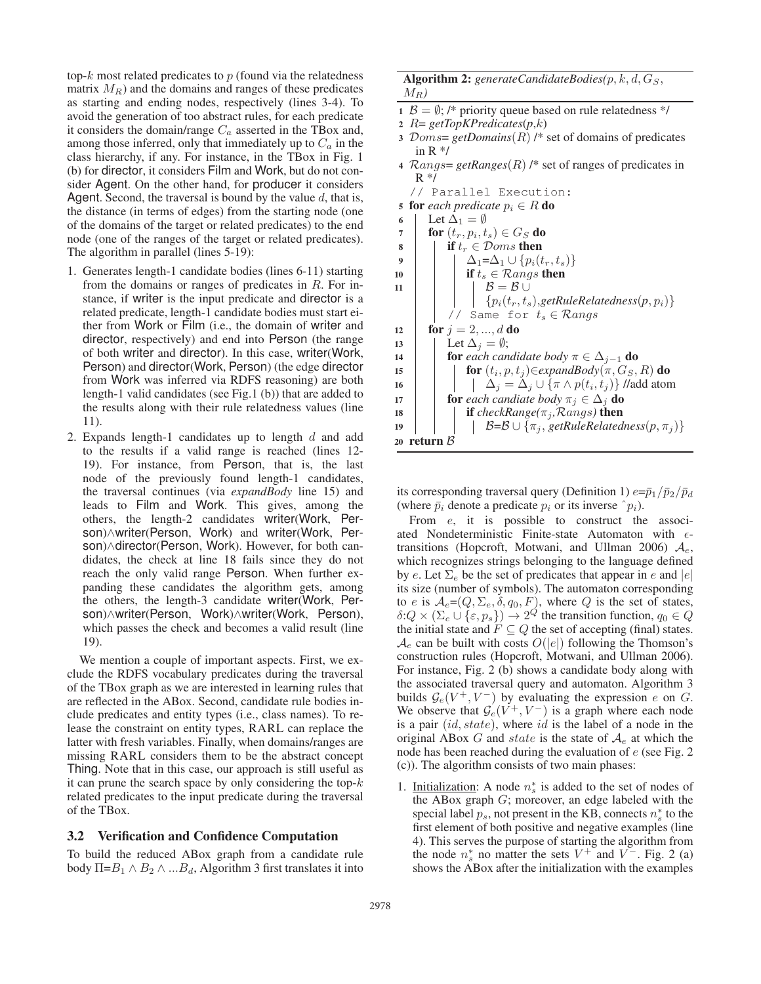top- $k$  most related predicates to  $p$  (found via the relatedness matrix  $M_R$ ) and the domains and ranges of these predicates as starting and ending nodes, respectively (lines 3-4). To avoid the generation of too abstract rules, for each predicate it considers the domain/range  $C_a$  asserted in the TBox and, among those inferred, only that immediately up to  $C_a$  in the class hierarchy, if any. For instance, in the TBox in Fig. 1 (b) for director, it considers Film and Work, but do not consider Agent. On the other hand, for producer it considers Agent. Second, the traversal is bound by the value  $d$ , that is, the distance (in terms of edges) from the starting node (one of the domains of the target or related predicates) to the end node (one of the ranges of the target or related predicates). The algorithm in parallel (lines 5-19):

- 1. Generates length-1 candidate bodies (lines 6-11) starting from the domains or ranges of predicates in R. For instance, if writer is the input predicate and director is a related predicate, length-1 candidate bodies must start either from Work or Film (i.e., the domain of writer and director, respectively) and end into Person (the range of both writer and director). In this case, writer(Work, Person) and director(Work, Person) (the edge director from Work was inferred via RDFS reasoning) are both length-1 valid candidates (see Fig.1 (b)) that are added to the results along with their rule relatedness values (line 11).
- 2. Expands length-1 candidates up to length  $d$  and add to the results if a valid range is reached (lines 12- 19). For instance, from Person, that is, the last node of the previously found length-1 candidates, the traversal continues (via *expandBody* line 15) and leads to Film and Work. This gives, among the others, the length-2 candidates writer(Work, Person)∧writer(Person, Work) and writer(Work, Person)∧director(Person, Work). However, for both candidates, the check at line 18 fails since they do not reach the only valid range Person. When further expanding these candidates the algorithm gets, among the others, the length-3 candidate writer(Work, Person)∧writer(Person, Work)∧writer(Work, Person), which passes the check and becomes a valid result (line 19).

We mention a couple of important aspects. First, we exclude the RDFS vocabulary predicates during the traversal of the TBox graph as we are interested in learning rules that are reflected in the ABox. Second, candidate rule bodies include predicates and entity types (i.e., class names). To release the constraint on entity types, RARL can replace the latter with fresh variables. Finally, when domains/ranges are missing RARL considers them to be the abstract concept Thing. Note that in this case, our approach is still useful as it can prune the search space by only considering the top- $k$ related predicates to the input predicate during the traversal of the TBox.

### 3.2 Verification and Confidence Computation

To build the reduced ABox graph from a candidate rule body  $\Pi = B_1 \wedge B_2 \wedge ... B_d$ , Algorithm 3 first translates it into

### Algorithm 2:  $generate CandidateBodies(p, k, d, G<sub>S</sub>)$ ,  $M_R$ )

- 1  $\beta = \emptyset$ ; /\* priority queue based on rule relatedness \*/
- <sup>2</sup> R= *getTopKPredicates*(*p*,k)
- <sup>3</sup> Doms= *getDomains*(R) /\* set of domains of predicates in  $R \frac{*}{ }$
- <sup>4</sup> Rangs= *getRanges*(R) /\* set of ranges of predicates in  $R^*/$

// Parallel Execution:

|                  | Tatatiel BAecucion.                                                              |
|------------------|----------------------------------------------------------------------------------|
| 5                | <b>for</b> each predicate $p_i \in R$ <b>do</b>                                  |
| 6                | Let $\Delta_1 = \emptyset$                                                       |
| $\overline{7}$   | for $(t_r, p_i, t_s) \in G_S$ do                                                 |
| 8                | if $t_r \in \mathcal{D}oms$ then                                                 |
| $\boldsymbol{9}$ | $\Delta_1 = \Delta_1 \cup \{p_i(t_r,t_s)\}\$                                     |
| 10               | if $t_s \in \mathcal{R}angs$ then                                                |
| 11               | $\mathcal{B}=\mathcal{B}\cup$                                                    |
|                  | $\{p_i(t_r,t_s),$ getRuleRelatedness $(p,p_i)\}$                                 |
|                  | // Same for $t_s \in \mathcal{R}angs$                                            |
| 12               | <b>for</b> $j = 2, , d$ <b>do</b>                                                |
| 13               | Let $\Delta_i = \emptyset$ ;                                                     |
| 14               | <b>for</b> each candidate body $\pi \in \Delta_{i-1}$ <b>do</b>                  |
| 15               | for $(t_i, p, t_j) \in expandBody(\pi, G_S, R)$ do                               |
| 16               | $\Delta_i = \Delta_i \cup \{\pi \wedge p(t_i, t_i)\}\text{ //add atom}$          |
| 17               | <b>for</b> each candiate body $\pi_i \in \Delta_i$ <b>do</b>                     |
| 18               | <b>if</b> checkRange( $\pi_j$ ,Rangs) <b>then</b>                                |
| 19               | $\mathcal{B} = \mathcal{B} \cup \{\pi_i, \text{getRuleRelatedness}(p, \pi_j)\}\$ |
| 20               | return <i>B</i>                                                                  |
|                  |                                                                                  |

its corresponding traversal query (Definition 1)  $e=\bar{p}_1/\bar{p}_2/\bar{p}_d$ (where  $\bar{p}_i$  denote a predicate  $p_i$  or its inverse  $\hat{p}_i$ ).

From  $e$ , it is possible to construct the associated Nondeterministic Finite-state Automaton with  $\epsilon$ transitions (Hopcroft, Motwani, and Ullman 2006)  $A_e$ , which recognizes strings belonging to the language defined by e. Let  $\Sigma_e$  be the set of predicates that appear in e and  $|e|$ its size (number of symbols). The automaton corresponding to e is  $A_e=(Q, \Sigma_e, \delta, q_0, F)$ , where Q is the set of states,  $\delta: Q \times (\Sigma_e \cup {\varepsilon, p_s}) \to 2^Q$  the transition function,  $q_0 \in Q$ the initial state and  $F \subseteq Q$  the set of accepting (final) states.  $\mathcal{A}_e$  can be built with costs  $O(|e|)$  following the Thomson's construction rules (Hopcroft, Motwani, and Ullman 2006). For instance, Fig. 2 (b) shows a candidate body along with the associated traversal query and automaton. Algorithm 3 builds  $\mathcal{G}_e(V^+, V^-)$  by evaluating the expression e on G. We observe that  $\mathcal{G}_e(V^+, V^-)$  is a graph where each node is a pair  $(id, state)$ , where id is the label of a node in the original ABox G and state is the state of  $A_e$  at which the node has been reached during the evaluation of e (see Fig. 2 (c)). The algorithm consists of two main phases:

1. Initialization: A node  $n_s^*$  is added to the set of nodes of the ABox graph G; moreover, an edge labeled with the special label  $p_s$ , not present in the KB, connects  $n_s^*$  to the first element of both positive and negative examples (line 4). This serves the purpose of starting the algorithm from the node  $n_s^*$  no matter the sets  $V^+$  and  $V^-$ . Fig. 2 (a) shows the ABox after the initialization with the examples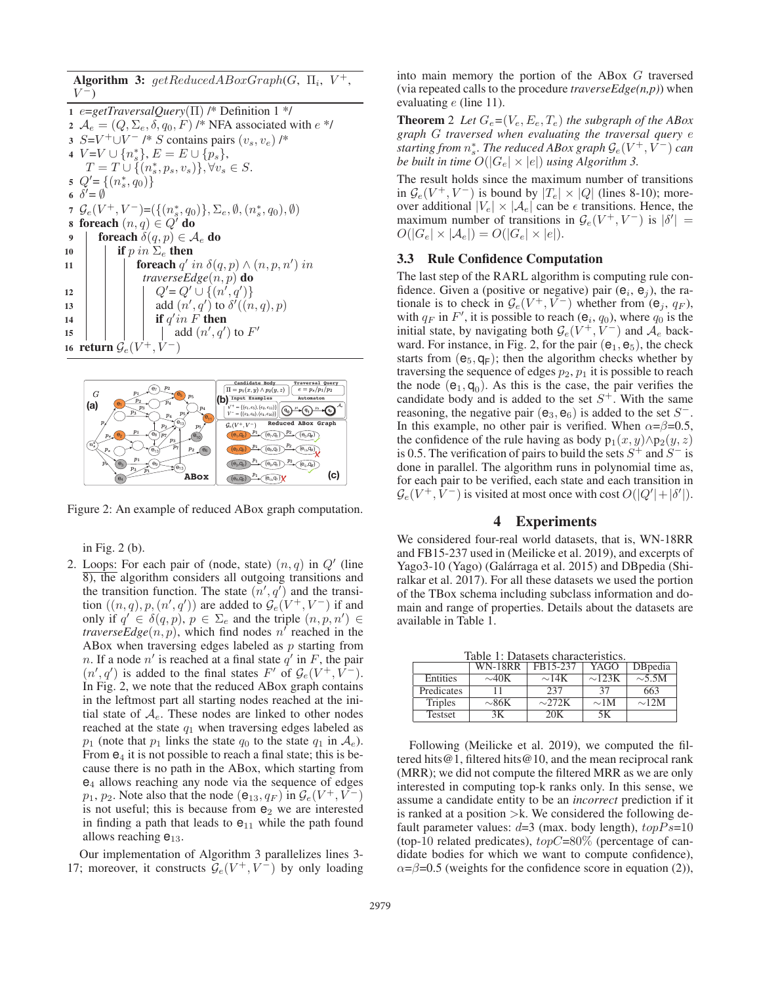Algorithm 3:  $getReducedABoxGraph(G, \Pi_i, V^+,$  $V^-$ 

 e=*getTraversalQuery*(Π) /\* Definition 1 \*/  $A_e = (Q, \Sigma_e, \delta, q_0, F)$  /\* NFA associated with  $e^*$ /  $S=V^+\cup V^-$  /\* S contains pairs  $(v_s, v_e)$  /\*  $V=V\cup \{n_s^*\}, E=E\cup \{p_s\},\$  $T = T \cup \{ (n_s^*, p_s, v_s) \}, \forall v_s \in S.$  $Q' = \{(n_s^*, q_0)\}\$  $\delta' = \emptyset$  $\mathcal{G}_e(V^+, V^-) = (\{(n_s^*, q_0)\}, \Sigma_e, \emptyset, (n_s^*, q_0), \emptyset)$ 8 foreach  $(n, q) \in Q'$  do 9 foreach  $\delta(q, p) \in \mathcal{A}_e$  do **if** p in  $\Sigma_e$  then **foreach**  $q'$  in  $\delta(q, p) \wedge (n, p, n')$  in *traverseEdge*(n, p) do  $|$   $|$   $|$   $Q'=Q' \cup \{(n',q')\}$ 13 dd  $(n', q')$  to  $\delta'((n, q), p)$ **if**  $q'$  in F then  $\vert$   $\vert$   $\vert$   $\vert$  add  $(n', q')$  to  $F'$ 16 return  $\mathcal{G}_e(V^+,V^-)$ 



Figure 2: An example of reduced ABox graph computation.

in Fig. 2 (b).

2. Loops: For each pair of (node, state)  $(n, q)$  in  $Q'$  (line 8), the algorithm considers all outgoing transitions and the transition function. The state  $(n', q')$  and the transition  $((n,q), p, (n', q'))$  are added to  $\mathcal{G}_e(V^+, V^-)$  if and only if  $q' \in \delta(q, p)$ ,  $p \in \Sigma_e$  and the triple  $(n, p, n') \in$ *traverseEdge* $(n, p)$ , which find nodes n' reached in the ABox when traversing edges labeled as  $p$  starting from n. If a node  $n'$  is reached at a final state  $q'$  in F, the pair  $(n', q')$  is added to the final states F' of  $\mathcal{G}_e(V^+, V^-)$ . In Fig. 2, we note that the reduced ABox graph contains in the leftmost part all starting nodes reached at the initial state of  $A_e$ . These nodes are linked to other nodes reached at the state  $q_1$  when traversing edges labeled as  $p_1$  (note that  $p_1$  links the state  $q_0$  to the state  $q_1$  in  $\mathcal{A}_e$ ). From  $e_4$  it is not possible to reach a final state; this is because there is no path in the ABox, which starting from  $e_4$  allows reaching any node via the sequence of edges  $p_1, p_2$ . Note also that the node ( $e_{13}, q_F$ ) in  $\mathcal{G}_e(V^+, V^-)$ is not useful; this is because from  $e_2$  we are interested in finding a path that leads to  $e_{11}$  while the path found allows reaching  $e_{13}$ .

Our implementation of Algorithm 3 parallelizes lines 3- 17; moreover, it constructs  $\mathcal{G}_e(V^+, V^-)$  by only loading into main memory the portion of the ABox G traversed (via repeated calls to the procedure *traverseEdge(n,p)*) when evaluating e (line 11).

**Theorem** 2 *Let*  $G_e = (V_e, E_e, T_e)$  *the subgraph of the ABox graph* G *traversed when evaluating the traversal query* e  $s$ *tarting from*  $n_s^*$ *. The reduced ABox graph*  $\mathcal{G}_e(V^+,V^-)$  *can be built in time*  $O(|G_e| \times |e|)$  *using Algorithm 3.* 

The result holds since the maximum number of transitions in  $\mathcal{G}_e(V^+, V^-)$  is bound by  $|T_e| \times |Q|$  (lines 8-10); moreover additional  $|V_e| \times |A_e|$  can be  $\epsilon$  transitions. Hence, the maximum number of transitions in  $\mathcal{G}_e(V^+, V^-)$  is  $|\delta'| =$  $O(|G_e| \times |\mathcal{A}_e|) = O(|G_e| \times |e|).$ 

# 3.3 Rule Confidence Computation

The last step of the RARL algorithm is computing rule confidence. Given a (positive or negative) pair  $(e_i, e_j)$ , the rationale is to check in  $\mathcal{G}_e(V^+, V^-)$  whether from  $(\mathbf{e}_i, q_F)$ , with  $q_F$  in  $F'$ , it is possible to reach ( $e_i$ ,  $q_0$ ), where  $q_0$  is the initial state, by navigating both  $\mathcal{G}_e(V^+, V^-)$  and  $\mathcal{A}_e$  backward. For instance, in Fig. 2, for the pair  $(e_1, e_5)$ , the check starts from  $(e_5, q_F)$ ; then the algorithm checks whether by traversing the sequence of edges  $p_2$ ,  $p_1$  it is possible to reach the node  $(e_1, q_0)$ . As this is the case, the pair verifies the candidate body and is added to the set  $S^+$ . With the same reasoning, the negative pair ( $e_3$ ,  $e_6$ ) is added to the set  $S^-$ . In this example, no other pair is verified. When  $\alpha = \beta = 0.5$ , the confidence of the rule having as body  $p_1(x, y) \wedge p_2(y, z)$ is 0.5. The verification of pairs to build the sets  $S^+$  and  $S^-$  is done in parallel. The algorithm runs in polynomial time as, for each pair to be verified, each state and each transition in  $\mathcal{G}_e(V^+, \bar{V}^-)$  is visited at most once with cost  $O(|Q'| + |\delta'|)$ .

# 4 Experiments

We considered four-real world datasets, that is, WN-18RR and FB15-237 used in (Meilicke et al. 2019), and excerpts of Yago3-10 (Yago) (Galárraga et al. 2015) and DB pedia (Shiralkar et al. 2017). For all these datasets we used the portion of the TBox schema including subclass information and domain and range of properties. Details about the datasets are available in Table 1.

Table 1: Datasets characteristics.

|                | WN-18RR    | FB15-237    | YAGO        | DBpedia     |
|----------------|------------|-------------|-------------|-------------|
| Entities       | $\sim$ 40K | $\sim$ 14K  | $\sim$ 123K | $\sim$ 5.5M |
| Predicates     |            | 237         | 37          | 663         |
| <b>Triples</b> | $\sim$ 86K | $\sim$ 272K | $\sim$ 1M   | $\sim$ 12M  |
| <b>Testset</b> | 3Κ.        | 20K         | 5K          |             |

Following (Meilicke et al. 2019), we computed the filtered hits@1, filtered hits@10, and the mean reciprocal rank (MRR); we did not compute the filtered MRR as we are only interested in computing top-k ranks only. In this sense, we assume a candidate entity to be an *incorrect* prediction if it is ranked at a position  $\gtrdot k$ . We considered the following default parameter values:  $d=3$  (max. body length),  $topPs=10$ (top-10 related predicates),  $topC=80\%$  (percentage of candidate bodies for which we want to compute confidence),  $\alpha = \beta = 0.5$  (weights for the confidence score in equation (2)),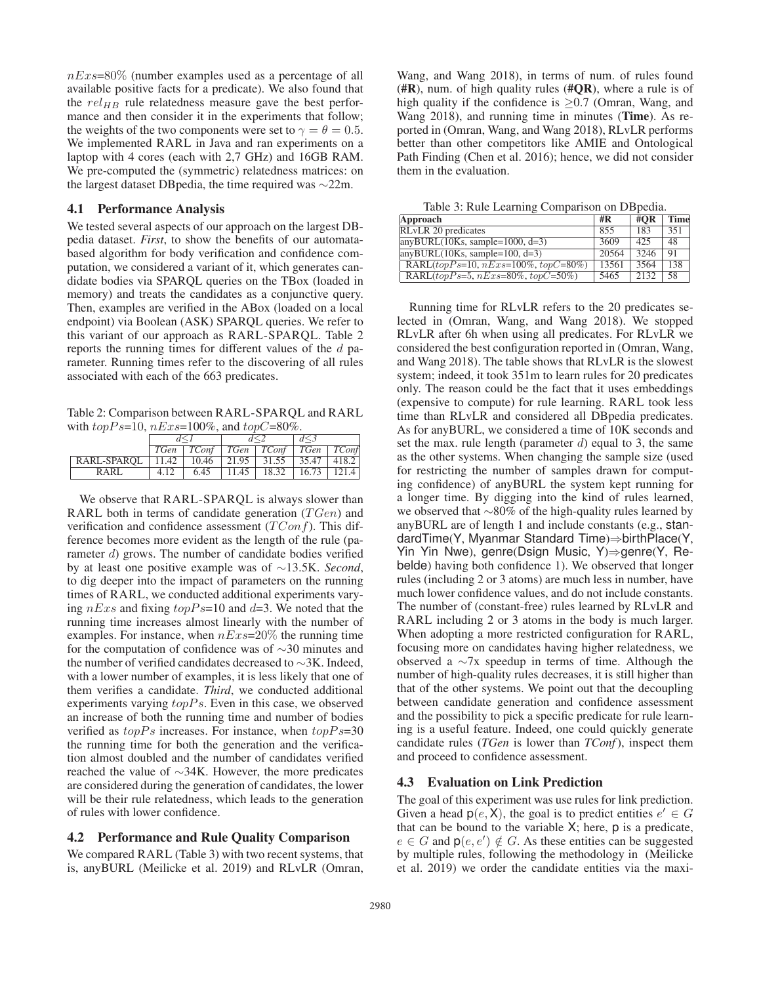$nExs=80\%$  (number examples used as a percentage of all available positive facts for a predicate). We also found that the  $rel_{HB}$  rule relatedness measure gave the best performance and then consider it in the experiments that follow; the weights of the two components were set to  $\gamma = \theta = 0.5$ . We implemented RARL in Java and ran experiments on a laptop with 4 cores (each with 2,7 GHz) and 16GB RAM. We pre-computed the (symmetric) relatedness matrices: on the largest dataset DBpedia, the time required was ∼22m.

#### 4.1 Performance Analysis

We tested several aspects of our approach on the largest DBpedia dataset. *First*, to show the benefits of our automatabased algorithm for body verification and confidence computation, we considered a variant of it, which generates candidate bodies via SPARQL queries on the TBox (loaded in memory) and treats the candidates as a conjunctive query. Then, examples are verified in the ABox (loaded on a local endpoint) via Boolean (ASK) SPARQL queries. We refer to this variant of our approach as RARL-SPARQL. Table 2 reports the running times for different values of the d parameter. Running times refer to the discovering of all rules associated with each of the 663 predicates.

Table 2: Comparison between RARL-SPARQL and RARL with  $topPs=10$ ,  $nExs=100\%$ , and  $topC=80\%$ .

|                                                             |      |      | TGen   TConf   TGen   TConf   TGen   TConf |  |  |  |
|-------------------------------------------------------------|------|------|--------------------------------------------|--|--|--|
| RARL-SPAROL   11.42   10.46   21.95   31.55   35.47   418.2 |      |      |                                            |  |  |  |
| RARI.                                                       | 4.12 | 6.45 | $11.45$   18.32   16.73   121.4            |  |  |  |

We observe that RARL-SPARQL is always slower than RARL both in terms of candidate generation  $(TGen)$  and verification and confidence assessment  $(TConf)$ . This difference becomes more evident as the length of the rule (parameter d) grows. The number of candidate bodies verified by at least one positive example was of ∼13.5K. *Second*, to dig deeper into the impact of parameters on the running times of RARL, we conducted additional experiments varying  $nExs$  and fixing  $topPs=10$  and  $d=3$ . We noted that the running time increases almost linearly with the number of examples. For instance, when  $nExs=20\%$  the running time for the computation of confidence was of ∼30 minutes and the number of verified candidates decreased to ∼3K. Indeed, with a lower number of examples, it is less likely that one of them verifies a candidate. *Third*, we conducted additional experiments varying  $topPs$ . Even in this case, we observed an increase of both the running time and number of bodies verified as  $topPs$  increases. For instance, when  $topPs=30$ the running time for both the generation and the verification almost doubled and the number of candidates verified reached the value of ∼34K. However, the more predicates are considered during the generation of candidates, the lower will be their rule relatedness, which leads to the generation of rules with lower confidence.

### 4.2 Performance and Rule Quality Comparison

We compared RARL (Table 3) with two recent systems, that is, anyBURL (Meilicke et al. 2019) and RLvLR (Omran,

Wang, and Wang 2018), in terms of num. of rules found  $(\text{HR})$ , num. of high quality rules ( $\text{HQR}$ ), where a rule is of high quality if the confidence is  $\geq 0.7$  (Omran, Wang, and Wang 2018), and running time in minutes (Time). As reported in (Omran, Wang, and Wang 2018), RLvLR performs better than other competitors like AMIE and Ontological Path Finding (Chen et al. 2016); hence, we did not consider them in the evaluation.

Table 3: Rule Learning Comparison on DBpedia.

| Approach                                               | #R    | $\#OR$ | <b>Time</b> |
|--------------------------------------------------------|-------|--------|-------------|
| RLvLR 20 predicates                                    | 855   | 183    | 351         |
| $\text{anyBURL}(10\text{Ks}, \text{sample}=1000, d=3)$ | 3609  | 425    | 48          |
| $anyBURL(10Ks, sample=100, d=3)$                       | 20564 | 3246   | 91          |
| RARL $(topPs=10, nExs=100\%, topC=80\%)$               | 13561 | 3564   | 138         |
| RARL $(topPs=5, nExs=80\%, topC=50\%)$                 | 5465  | 2132   | 58          |

Running time for RLvLR refers to the 20 predicates selected in (Omran, Wang, and Wang 2018). We stopped RLvLR after 6h when using all predicates. For RLvLR we considered the best configuration reported in (Omran, Wang, and Wang 2018). The table shows that RLvLR is the slowest system; indeed, it took 351m to learn rules for 20 predicates only. The reason could be the fact that it uses embeddings (expensive to compute) for rule learning. RARL took less time than RLvLR and considered all DBpedia predicates. As for anyBURL, we considered a time of 10K seconds and set the max. rule length (parameter  $d$ ) equal to 3, the same as the other systems. When changing the sample size (used for restricting the number of samples drawn for computing confidence) of anyBURL the system kept running for a longer time. By digging into the kind of rules learned, we observed that ∼80% of the high-quality rules learned by anyBURL are of length 1 and include constants (e.g., standardTime(Y, Myanmar Standard Time)⇒birthPlace(Y, Yin Yin Nwe), genre(Dsign Music, Y)⇒genre(Y, Rebelde) having both confidence 1). We observed that longer rules (including 2 or 3 atoms) are much less in number, have much lower confidence values, and do not include constants. The number of (constant-free) rules learned by RLvLR and RARL including 2 or 3 atoms in the body is much larger. When adopting a more restricted configuration for RARL, focusing more on candidates having higher relatedness, we observed a ∼7x speedup in terms of time. Although the number of high-quality rules decreases, it is still higher than that of the other systems. We point out that the decoupling between candidate generation and confidence assessment and the possibility to pick a specific predicate for rule learning is a useful feature. Indeed, one could quickly generate candidate rules (*TGen* is lower than *TConf*), inspect them and proceed to confidence assessment.

# 4.3 Evaluation on Link Prediction

The goal of this experiment was use rules for link prediction. Given a head  $p(e, X)$ , the goal is to predict entities  $e' \in G$ that can be bound to the variable  $X$ ; here,  $p$  is a predicate,  $e \in G$  and  $p(e, e') \notin G$ . As these entities can be suggested by multiple rules, following the methodology in (Meilicke et al. 2019) we order the candidate entities via the maxi-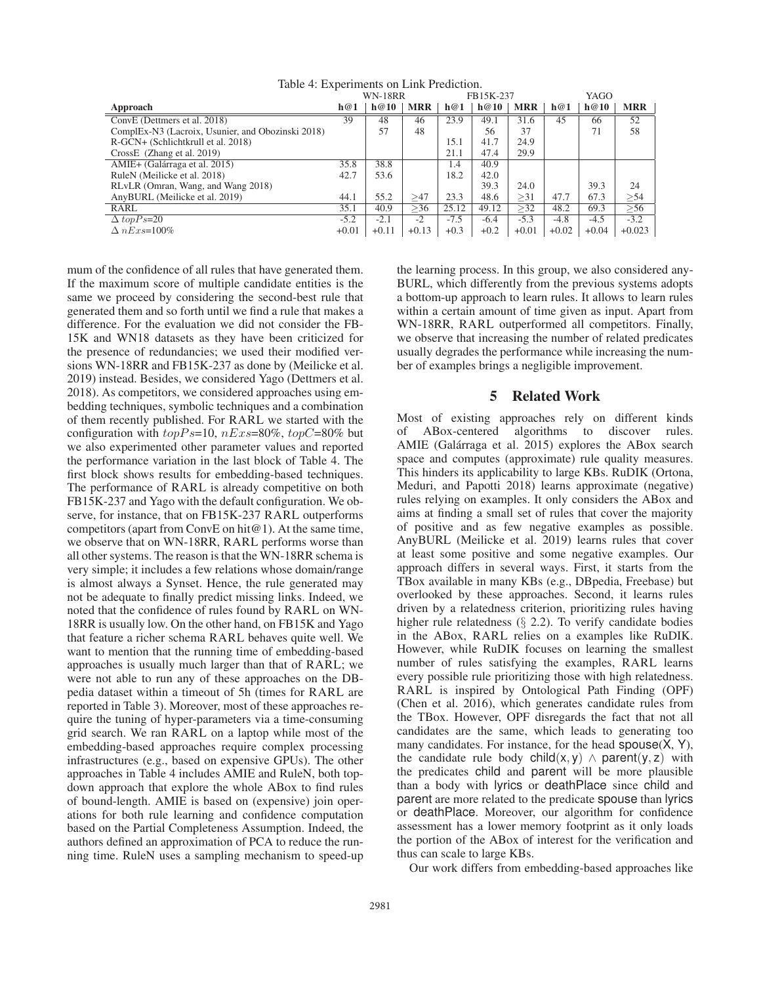|                                                               | $\ldots$<br><b>WN-18RR</b> |         |            | FB15K-237 |        |            | YAGO    |         |            |
|---------------------------------------------------------------|----------------------------|---------|------------|-----------|--------|------------|---------|---------|------------|
| Approach                                                      | h@1                        | h@10    | <b>MRR</b> | h@1       | h@10   | <b>MRR</b> | h@1     | h@10    | <b>MRR</b> |
| ConvE (Dettmers et al. 2018)                                  | 39                         | 48      | 46         | 23.9      | 49.1   | 31.6       | 45      | 66      | 52         |
| ComplEx-N <sub>3</sub> (Lacroix, Usunier, and Obozinski 2018) |                            | 57      | 48         |           | 56     | 37         |         | 71      | 58         |
| R-GCN+ (Schlichtkrull et al. 2018)                            |                            |         |            | 15.1      | 41.7   | 24.9       |         |         |            |
| CrossE (Zhang et al. 2019)                                    |                            |         |            | 21.1      | 47.4   | 29.9       |         |         |            |
| AMIE+ (Galárraga et al. 2015)                                 | 35.8                       | 38.8    |            | 1.4       | 40.9   |            |         |         |            |
| RuleN (Meilicke et al. 2018)                                  | 42.7                       | 53.6    |            | 18.2      | 42.0   |            |         |         |            |
| RLvLR (Omran, Wang, and Wang 2018)                            |                            |         |            |           | 39.3   | 24.0       |         | 39.3    | 24         |
| AnyBURL (Meilicke et al. 2019)                                | 44.1                       | 55.2    | >47        | 23.3      | 48.6   | >31        | 47.7    | 67.3    | >54        |
| RARL                                                          | 35.1                       | 40.9    | >36        | 25.12     | 49.12  | >32        | 48.2    | 69.3    | > 56       |
| $\triangle$ topPs=20                                          | $-5.2$                     | $-2.1$  | $-2$       | $-7.5$    | $-6.4$ | $-5.3$     | $-4.8$  | $-4.5$  | $-3.2$     |
| $\Delta$ nExs=100%                                            | $+0.01$                    | $+0.11$ | $+0.13$    | $+0.3$    | $+0.2$ | $+0.01$    | $+0.02$ | $+0.04$ | $+0.023$   |

Table 4: Experiments on Link Prediction.

mum of the confidence of all rules that have generated them. If the maximum score of multiple candidate entities is the same we proceed by considering the second-best rule that generated them and so forth until we find a rule that makes a difference. For the evaluation we did not consider the FB-15K and WN18 datasets as they have been criticized for the presence of redundancies; we used their modified versions WN-18RR and FB15K-237 as done by (Meilicke et al. 2019) instead. Besides, we considered Yago (Dettmers et al. 2018). As competitors, we considered approaches using embedding techniques, symbolic techniques and a combination of them recently published. For RARL we started with the configuration with  $topPs=10$ ,  $nExs=80\%$ ,  $topC=80\%$  but we also experimented other parameter values and reported the performance variation in the last block of Table 4. The first block shows results for embedding-based techniques. The performance of RARL is already competitive on both FB15K-237 and Yago with the default configuration. We observe, for instance, that on FB15K-237 RARL outperforms competitors (apart from ConvE on hit@1). At the same time, we observe that on WN-18RR, RARL performs worse than all other systems. The reason is that the WN-18RR schema is very simple; it includes a few relations whose domain/range is almost always a Synset. Hence, the rule generated may not be adequate to finally predict missing links. Indeed, we noted that the confidence of rules found by RARL on WN-18RR is usually low. On the other hand, on FB15K and Yago that feature a richer schema RARL behaves quite well. We want to mention that the running time of embedding-based approaches is usually much larger than that of RARL; we were not able to run any of these approaches on the DBpedia dataset within a timeout of 5h (times for RARL are reported in Table 3). Moreover, most of these approaches require the tuning of hyper-parameters via a time-consuming grid search. We ran RARL on a laptop while most of the embedding-based approaches require complex processing infrastructures (e.g., based on expensive GPUs). The other approaches in Table 4 includes AMIE and RuleN, both topdown approach that explore the whole ABox to find rules of bound-length. AMIE is based on (expensive) join operations for both rule learning and confidence computation based on the Partial Completeness Assumption. Indeed, the authors defined an approximation of PCA to reduce the running time. RuleN uses a sampling mechanism to speed-up

the learning process. In this group, we also considered any-BURL, which differently from the previous systems adopts a bottom-up approach to learn rules. It allows to learn rules within a certain amount of time given as input. Apart from WN-18RR, RARL outperformed all competitors. Finally, we observe that increasing the number of related predicates usually degrades the performance while increasing the number of examples brings a negligible improvement.

### 5 Related Work

Most of existing approaches rely on different kinds of ABox-centered algorithms to discover rules. AMIE (Galárraga et al. 2015) explores the ABox search space and computes (approximate) rule quality measures. This hinders its applicability to large KBs. RuDIK (Ortona, Meduri, and Papotti 2018) learns approximate (negative) rules relying on examples. It only considers the ABox and aims at finding a small set of rules that cover the majority of positive and as few negative examples as possible. AnyBURL (Meilicke et al. 2019) learns rules that cover at least some positive and some negative examples. Our approach differs in several ways. First, it starts from the TBox available in many KBs (e.g., DBpedia, Freebase) but overlooked by these approaches. Second, it learns rules driven by a relatedness criterion, prioritizing rules having higher rule relatedness (§ 2.2). To verify candidate bodies in the ABox, RARL relies on a examples like RuDIK. However, while RuDIK focuses on learning the smallest number of rules satisfying the examples, RARL learns every possible rule prioritizing those with high relatedness. RARL is inspired by Ontological Path Finding (OPF) (Chen et al. 2016), which generates candidate rules from the TBox. However, OPF disregards the fact that not all candidates are the same, which leads to generating too many candidates. For instance, for the head spouse(X, Y), the candidate rule body child(x, y)  $\land$  parent(y, z) with the predicates child and parent will be more plausible than a body with lyrics or deathPlace since child and parent are more related to the predicate spouse than lyrics or deathPlace. Moreover, our algorithm for confidence assessment has a lower memory footprint as it only loads the portion of the ABox of interest for the verification and thus can scale to large KBs.

Our work differs from embedding-based approaches like